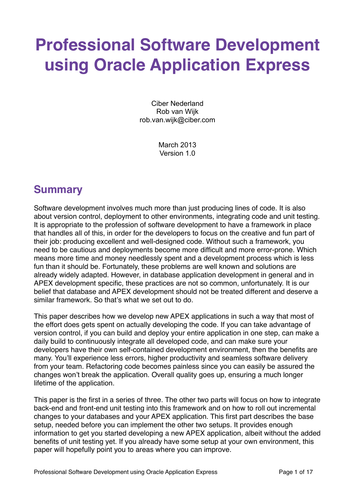# **Professional Software Development using Oracle Application Express**

Ciber Nederland Rob van Wijk rob.van.wijk@ciber.com

> March 2013 Version 1.0

# **Summary**

Software development involves much more than just producing lines of code. It is also about version control, deployment to other environments, integrating code and unit testing. It is appropriate to the profession of software development to have a framework in place that handles all of this, in order for the developers to focus on the creative and fun part of their job: producing excellent and well-designed code. Without such a framework, you need to be cautious and deployments become more difficult and more error-prone. Which means more time and money needlessly spent and a development process which is less fun than it should be. Fortunately, these problems are well known and solutions are already widely adapted. However, in database application development in general and in APEX development specific, these practices are not so common, unfortunately. It is our belief that database and APEX development should not be treated different and deserve a similar framework. So that's what we set out to do.

This paper describes how we develop new APEX applications in such a way that most of the effort does gets spent on actually developing the code. If you can take advantage of version control, if you can build and deploy your entire application in one step, can make a daily build to continuously integrate all developed code, and can make sure your developers have their own self-contained development environment, then the benefits are many. You'll experience less errors, higher productivity and seamless software delivery from your team. Refactoring code becomes painless since you can easily be assured the changes won't break the application. Overall quality goes up, ensuring a much longer lifetime of the application.

This paper is the first in a series of three. The other two parts will focus on how to integrate back-end and front-end unit testing into this framework and on how to roll out incremental changes to your databases and your APEX application. This first part describes the base setup, needed before you can implement the other two setups. It provides enough information to get you started developing a new APEX application, albeit without the added benefits of unit testing yet. If you already have some setup at your own environment, this paper will hopefully point you to areas where you can improve.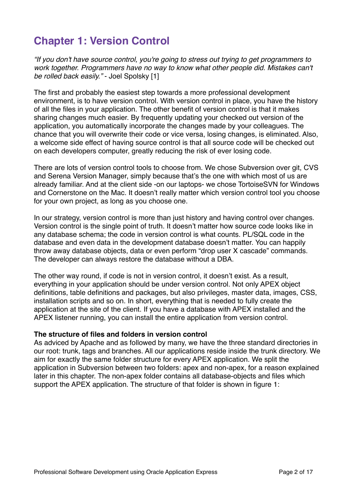# **Chapter 1: Version Control**

*"If you don't have source control, you're going to stress out trying to get programmers to*  work together. Programmers have no way to know what other people did. Mistakes can't *be rolled back easily."* - Joel Spolsky [1]

The first and probably the easiest step towards a more professional development environment, is to have version control. With version control in place, you have the history of all the files in your application. The other benefit of version control is that it makes sharing changes much easier. By frequently updating your checked out version of the application, you automatically incorporate the changes made by your colleagues. The chance that you will overwrite their code or vice versa, losing changes, is eliminated. Also, a welcome side effect of having source control is that all source code will be checked out on each developers computer, greatly reducing the risk of ever losing code.

There are lots of version control tools to choose from. We chose Subversion over git, CVS and Serena Version Manager, simply because that's the one with which most of us are already familiar. And at the client side -on our laptops- we chose TortoiseSVN for Windows and Cornerstone on the Mac. It doesn't really matter which version control tool you choose for your own project, as long as you choose one.

In our strategy, version control is more than just history and having control over changes. Version control is the single point of truth. It doesn't matter how source code looks like in any database schema; the code in version control is what counts. PL/SQL code in the database and even data in the development database doesn't matter. You can happily throw away database objects, data or even perform "drop user X cascade" commands. The developer can always restore the database without a DBA.

The other way round, if code is not in version control, it doesn't exist. As a result, everything in your application should be under version control. Not only APEX object definitions, table definitions and packages, but also privileges, master data, images, CSS, installation scripts and so on. In short, everything that is needed to fully create the application at the site of the client. If you have a database with APEX installed and the APEX listener running, you can install the entire application from version control.

#### **The structure of files and folders in version control**

As adviced by Apache and as followed by many, we have the three standard directories in our root: trunk, tags and branches. All our applications reside inside the trunk directory. We aim for exactly the same folder structure for every APEX application. We split the application in Subversion between two folders: apex and non-apex, for a reason explained later in this chapter. The non-apex folder contains all database-objects and files which support the APEX application. The structure of that folder is shown in figure 1: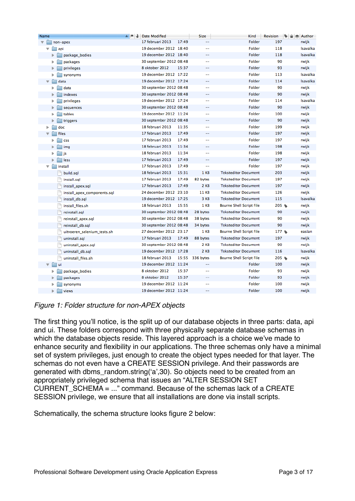| Name                        | $\blacktriangle$ $\blacktriangleright$ $\blacktriangleright$<br><b>Date Modified</b> | Size                     | Kind                            | Revision | - Author |
|-----------------------------|--------------------------------------------------------------------------------------|--------------------------|---------------------------------|----------|----------|
| non-apex                    | 17 februari 2013<br>17:49                                                            | $\overline{\phantom{a}}$ | Folder                          | 197      | rwijk    |
| api                         | 19 december 2012 18:40                                                               | $-$                      | Folder                          | 118      | Isavalka |
| package bodies<br>ь         | 19 december 2012 18:40                                                               | $\overline{\phantom{a}}$ | Folder                          | 118      | Isavalka |
| packages<br>▶               | 30 september 2012 08:48                                                              | $-$                      | Folder                          | 90       | rwijk    |
| privileges                  | 8 oktober 2012<br>15:37                                                              | $-$                      | Folder                          | 93       | rwijk    |
| synonyms                    | 19 december 2012 17:22                                                               | $-$                      | Folder                          | 113      | Isavalka |
| data                        | 19 december 2012 17:24                                                               | $\overline{\phantom{a}}$ | Folder                          | 114      | Isavalka |
| data                        | 30 september 2012 08:48                                                              | $-$                      | Folder                          | 90       | rwijk    |
| indexes                     | 30 september 2012 08:48                                                              | $-$                      | Folder                          | 90       | rwijk    |
| privileges                  | 19 december 2012 17:24                                                               | $-$                      | Folder                          | 114      | Isavalka |
| sequences                   | 30 september 2012 08:48                                                              |                          | Folder                          | 90       | rwijk    |
| tables                      | 19 december 2012 11:24                                                               | $- -$                    | Folder                          | 100      | rwijk    |
| triggers                    | 30 september 2012 08:48                                                              |                          | Folder                          | 90       | rwijk    |
| doc                         | 18 februari 2013<br>11:35                                                            | $-$                      | Folder                          | 199      | rwijk    |
| files                       | 17 februari 2013<br>17:49                                                            | $\overline{\phantom{a}}$ | Folder                          | 197      | rwijk    |
| <b>CSS</b>                  | 17 februari 2013<br>17:49                                                            | $-$                      | Folder                          | 197      | rwijk    |
| img                         | 18 februari 2013<br>11:34                                                            | $- -$                    | Folder                          | 198      | rwijk    |
| js<br>r                     | 18 februari 2013<br>11:34                                                            | $-$                      | Folder                          | 198      | rwijk    |
| less                        | 17 februari 2013<br>17:49                                                            | $\overline{\phantom{a}}$ | Folder                          | 197      | rwijk    |
| install<br>▼                | 17 februari 2013<br>17:49                                                            | $- -$                    | Folder                          | 197      | rwijk    |
| build.sql                   | 18 februari 2013<br>15:31                                                            | 1 KB                     | <b>Teksteditor Document</b>     | 203      | rwijk    |
| install.sql                 | 17 februari 2013<br>17:49                                                            | 82 bytes                 | <b>Teksteditor Document</b>     | 197      | rwijk    |
| install_apex.sql            | 17 februari 2013<br>17:49                                                            | 2 KB                     | <b>Teksteditor Document</b>     | 197      | rwijk    |
| install_apex_components.sql | 24 december 2012 23:10                                                               | <b>11 KB</b>             | <b>Teksteditor Document</b>     | 126      | rwijk    |
| install_db.sql              | 19 december 2012 17:25                                                               | 3 KB                     | <b>Teksteditor Document</b>     | 115      | Isavalka |
| install_files.sh            | 18 februari 2013<br>15:55                                                            | 1 KB                     | Bourne Shell Script File        | 205      | rwijk    |
| reinstall.sql               | 30 september 2012 08:48                                                              | 28 bytes                 | <b>Teksteditor Document</b>     | 90       | rwijk    |
| reinstall_apex.sql          | 30 september 2012 08:48                                                              | 38 bytes                 | <b>Teksteditor Document</b>     | 90       | rwijk    |
| reinstall_db.sql            | 30 september 2012 08:48                                                              | 34 bytes                 | <b>Teksteditor Document</b>     | 90       | rwijk    |
| uitvoeren_selenium_tests.sh | 27 december 2012 23:17                                                               | 1 KB                     | <b>Bourne Shell Script File</b> | 177      | easlan   |
| uninstall.sql               | 17 februari 2013<br>17:49                                                            | 88 bytes                 | <b>Teksteditor Document</b>     | 197      | rwijk    |
| uninstall_apex.sql          | 30 september 2012 08:48                                                              | 2 KB                     | <b>Teksteditor Document</b>     | 90       | rwijk    |
| uninstall_db.sql            | 19 december 2012 17:28                                                               | 2 KB                     | <b>Teksteditor Document</b>     | 116      | Isavalka |
| uninstall_files.sh          | 18 februari 2013<br>15:55                                                            | 336 bytes                | <b>Bourne Shell Script File</b> | 205 %    | rwijk    |
| ui                          | 19 december 2012 11:24                                                               | $\qquad \qquad -$        | Folder                          | 100      | rwijk    |
| package_bodies              | 8 oktober 2012<br>15:37                                                              | $-$                      | Folder                          | 93       | rwijk    |
| packages                    | 8 oktober 2012<br>15:37                                                              | $- -$                    | Folder                          | 93       | rwijk    |
| synonyms                    | 19 december 2012 11:24                                                               | $-$                      | Folder                          | 100      | rwijk    |
| views<br>▶                  | 19 december 2012 11:24                                                               | --                       | Folder                          | 100      | rwijk    |

*Figure 1: Folder structure for non-APEX objects*

The first thing you'll notice, is the split up of our database objects in three parts: data, api and ui. These folders correspond with three physically separate database schemas in which the database objects reside. This layered approach is a choice we've made to enhance security and flexibility in our applications. The three schemas only have a minimal set of system privileges, just enough to create the object types needed for that layer. The schemas do not even have a CREATE SESSION privilege. And their passwords are generated with dbms\_random.string(ʻa',30). So objects need to be created from an appropriately privileged schema that issues an "ALTER SESSION SET CURRENT\_SCHEMA = ..." command. Because of the schemas lack of a CREATE SESSION privilege, we ensure that all installations are done via install scripts.

Schematically, the schema structure looks figure 2 below: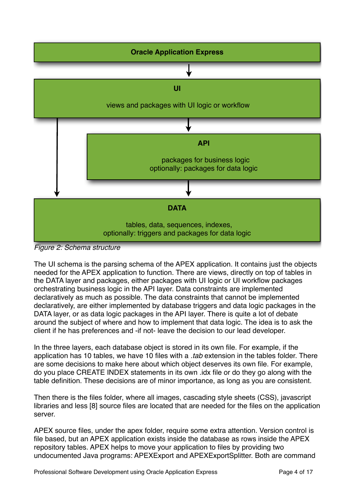

*Figure 2: Schema structure*

The UI schema is the parsing schema of the APEX application. It contains just the objects needed for the APEX application to function. There are views, directly on top of tables in the DATA layer and packages, either packages with UI logic or UI workflow packages orchestrating business logic in the API layer. Data constraints are implemented declaratively as much as possible. The data constraints that cannot be implemented declaratively, are either implemented by database triggers and data logic packages in the DATA layer, or as data logic packages in the API layer. There is quite a lot of debate around the subject of where and how to implement that data logic. The idea is to ask the client if he has preferences and -if not- leave the decision to our lead developer.

In the three layers, each database object is stored in its own file. For example, if the application has 10 tables, we have 10 files with a *.tab* extension in the tables folder. There are some decisions to make here about which object deserves its own file. For example, do you place CREATE INDEX statements in its own .idx file or do they go along with the table definition. These decisions are of minor importance, as long as you are consistent.

Then there is the files folder, where all images, cascading style sheets (CSS), javascript libraries and less [8] source files are located that are needed for the files on the application server.

APEX source files, under the apex folder, require some extra attention. Version control is file based, but an APEX application exists inside the database as rows inside the APEX repository tables. APEX helps to move your application to files by providing two undocumented Java programs: APEXExport and APEXExportSplitter. Both are command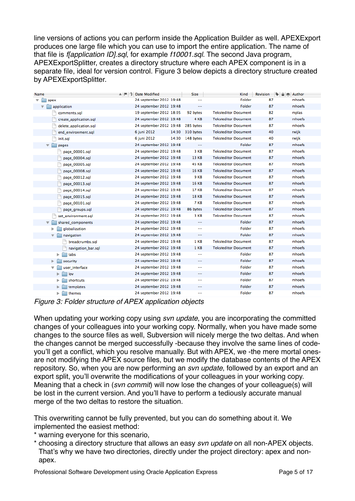line versions of actions you can perform inside the Application Builder as well. APEXExport produces one large file which you can use to import the entire application. The name of that file is *f[application ID].sql*, for example *f10001.sql*. The second Java program, APEXExportSplitter, creates a directory structure where each APEX component is in a separate file, ideal for version control. Figure 3 below depicts a directory structure created by APEXExportSplitter.

| Name                                      | $A \upharpoonright 2$<br>Date Modified | <b>Size</b>       | Kind                        | $\bullet$<br>Revision<br><b>△ ◆ Author</b> |        |
|-------------------------------------------|----------------------------------------|-------------------|-----------------------------|--------------------------------------------|--------|
| $\overline{\mathbf{v}}$<br>apex           | 24 september 2012 19:48                |                   | Folder                      | 87                                         | mhoefs |
| application<br>v                          | 24 september 2012 19:48                | $-$               | Folder                      | 87                                         | mhoefs |
| comments.sgl                              | 19 september 2012 18:05                | 92 bytes          | <b>Teksteditor Document</b> | 82                                         | mplas  |
| create application.sql                    | 24 september 2012 19:48                | 4 KB              | <b>Teksteditor Document</b> | 87                                         | mhoefs |
| delete_application.sql                    | 24 september 2012 19:48                | 285 bytes         | <b>Teksteditor Document</b> | 87                                         | mhoefs |
| end environment.sql                       | 6 juni 2012<br>14:30                   | 310 bytes         | <b>Teksteditor Document</b> | 40                                         | rwijk  |
| init.sql                                  | 14:30<br>6 juni 2012                   | 148 bytes         | <b>Teksteditor Document</b> | 40                                         | rwijk  |
| $\overline{\mathbf{v}}$<br>pages          | 24 september 2012 19:48                | $\qquad \qquad -$ | Folder                      | 87                                         | mhoefs |
| page_00001.sql                            | 24 september 2012 19:48                | 3 KB              | <b>Teksteditor Document</b> | 87                                         | mhoefs |
| page_00004.sql                            | 24 september 2012 19:48                | 13 KB             | <b>Teksteditor Document</b> | 87                                         | mhoefs |
| page_00005.sql                            | 24 september 2012 19:48                | <b>45 KB</b>      | <b>Teksteditor Document</b> | 87                                         | mhoefs |
| page_00008.sql                            | 24 september 2012 19:48                | <b>16 KB</b>      | <b>Teksteditor Document</b> | 87                                         | mhoefs |
| page_00012.sql                            | 24 september 2012 19:48                | 9 KB              | <b>Teksteditor Document</b> | 87                                         | mhoefs |
| page_00013.sql                            | 24 september 2012 19:48                | <b>16 KB</b>      | <b>Teksteditor Document</b> | 87                                         | mhoefs |
| page_00014.sql                            | 24 september 2012 19:48                | 17 KB             | <b>Teksteditor Document</b> | 87                                         | mhoefs |
| page_00015.sql                            | 24 september 2012 19:48                | <b>18 KB</b>      | <b>Teksteditor Document</b> | 87                                         | mhoefs |
| page 00101.sql                            | 24 september 2012 19:48                | 7 KB              | <b>Teksteditor Document</b> | 87                                         | mhoefs |
| page_groups.sql                           | 24 september 2012 19:48                | 86 bytes          | <b>Teksteditor Document</b> | 87                                         | mhoefs |
| set_environment.sql                       | 24 september 2012 19:48                | 3 KB              | <b>Teksteditor Document</b> | 87                                         | mhoefs |
| shared_components                         | 24 september 2012 19:48                | $-$               | Folder                      | 87                                         | mhoefs |
| qlobalization                             | 24 september 2012 19:48                | $-$               | Folder                      | 87                                         | mhoefs |
| navigation<br>$\overline{\mathbf{v}}$     | 24 september 2012 19:48                | $\qquad \qquad -$ | Folder                      | 87                                         | mhoefs |
| breadcrumbs.sql                           | 24 september 2012 19:48                | 1 KB              | <b>Teksteditor Document</b> | 87                                         | mhoefs |
| navigation_bar.sql                        | 24 september 2012 19:48                | 1 KB              | <b>Teksteditor Document</b> | 87                                         | mhoefs |
| Þ.<br>tabs                                | 24 september 2012 19:48                | $-$               | Folder                      | 87                                         | mhoefs |
| security                                  | 24 september 2012 19:48                | $\qquad \qquad -$ | Folder                      | 87                                         | mhoefs |
| user_interface<br>$\overline{\mathbf{v}}$ | 24 september 2012 19:48                | $-$               | Folder                      | 87                                         | mhoefs |
| ь<br>lov                                  | 24 september 2012 19:48                | $\qquad \qquad -$ | Folder                      | 87                                         | mhoefs |
| shortcuts                                 | 24 september 2012 19:48                | $-$               | Folder                      | 87                                         | mhoefs |
| templates                                 | 24 september 2012 19:48                | $\qquad \qquad -$ | Folder                      | 87                                         | mhoefs |
| themes<br>▶                               | 24 september 2012 19:48                | $-$               | Folder                      | 87                                         | mhoefs |

*Figure 3: Folder structure of APEX application objects*

When updating your working copy using *svn update*, you are incorporating the committed changes of your colleagues into your working copy. Normally, when you have made some changes to the source files as well, Subversion will nicely merge the two deltas. And when the changes cannot be merged successfully -because they involve the same lines of codeyou'll get a conflict, which you resolve manually. But with APEX, we -the mere mortal onesare not modifying the APEX source files, but we modify the database contents of the APEX repository. So, when you are now performing an *svn update*, followed by an export and an export split, you'll overwrite the modifications of your colleagues in your working copy. Meaning that a check in (*svn commit*) will now lose the changes of your colleague(s) will be lost in the current version. And you'll have to perform a tediously accurate manual merge of the two deltas to restore the situation.

This overwriting cannot be fully prevented, but you can do something about it. We implemented the easiest method:

- \* warning everyone for this scenario,
- \* choosing a directory structure that allows an easy *svn update* on all non-APEX objects. That's why we have two directories, directly under the project directory: apex and nonapex.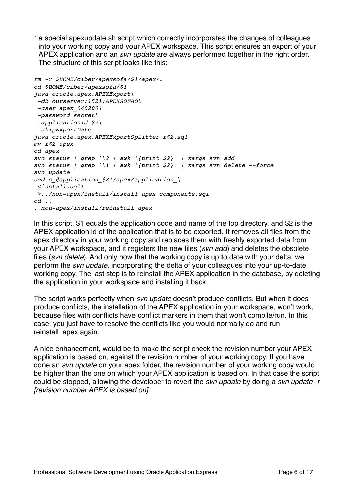\* a special apexupdate.sh script which correctly incorporates the changes of colleagues into your working copy and your APEX workspace. This script ensures an export of your APEX application and an *svn update* are always performed together in the right order. The structure of this script looks like this:

```
rm -r $HOME/ciber/apexsofa/$1/apex/.
cd $HOME/ciber/apexsofa/$1
java oracle.apex.APEXExport\
  -db ourserver:1521:APEXSOFAO\
 -user apex_040200\
 -password secret\
  -applicationid $2\
 -skipExportDate
java oracle.apex.APEXExportSplitter f$2.sql
mv f$2 apex
cd apex
svn status | grep ^\? | awk '{print $2}' | xargs svn add
svn status | grep ^\! | awk '{print $2}' | xargs svn delete --force
svn update
sed s_@application_@$1/apex/application_\
  <install.sql\
 >../non-apex/install/install_apex_components.sql
cd ..
. non-apex/install/reinstall_apex
```
In this script, \$1 equals the application code and name of the top directory, and \$2 is the APEX application id of the application that is to be exported. It removes all files from the apex directory in your working copy and replaces them with freshly exported data from your APEX workspace, and it registers the new files (*svn add*) and deletes the obsolete files (*svn delete*). And only now that the working copy is up to date with your delta, we perform the *svn update*, incorporating the delta of your colleagues into your up-to-date working copy. The last step is to reinstall the APEX application in the database, by deleting the application in your workspace and installing it back.

The script works perfectly when *svn update* doesn't produce conflicts. But when it does produce conflicts, the installation of the APEX application in your workspace, won't work, because files with conflicts have conflict markers in them that won't compile/run. In this case, you just have to resolve the conflicts like you would normally do and run reinstall\_apex again.

A nice enhancement, would be to make the script check the revision number your APEX application is based on, against the revision number of your working copy. If you have done an *svn update* on your apex folder, the revision number of your working copy would be higher than the one on which your APEX application is based on. In that case the script could be stopped, allowing the developer to revert the *svn update* by doing a *svn update -r [revision number APEX is based on]*.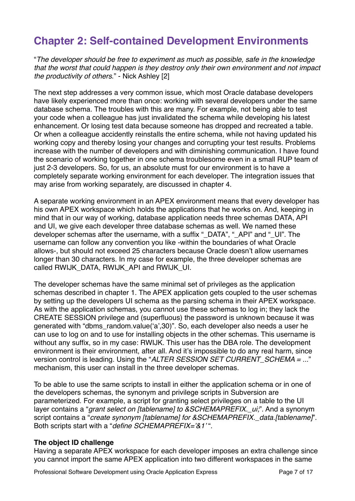# **Chapter 2: Self-contained Development Environments**

"*The developer should be free to experiment as much as possible, safe in the knowledge that the worst that could happen is they destroy only their own environment and not impact the productivity of others*." - Nick Ashley [2]

The next step addresses a very common issue, which most Oracle database developers have likely experienced more than once: working with several developers under the same database schema. The troubles with this are many. For example, not being able to test your code when a colleague has just invalidated the schema while developing his latest enhancement. Or losing test data because someone has dropped and recreated a table. Or when a colleague accidently reinstalls the entire schema, while not having updated his working copy and thereby losing your changes and corrupting your test results. Problems increase with the number of developers and with diminishing communication. I have found the scenario of working together in one schema troublesome even in a small RUP team of just 2-3 developers. So, for us, an absolute must for our environment is to have a completely separate working environment for each developer. The integration issues that may arise from working separately, are discussed in chapter 4.

A separate working environment in an APEX environment means that every developer has his own APEX workspace which holds the applications that he works on. And, keeping in mind that in our way of working, database application needs three schemas DATA, API and UI, we give each developer three database schemas as well. We named these developer schemas after the username, with a suffix "\_DATA", "\_API" and "\_UI". The username can follow any convention you like -within the boundaries of what Oracle allows-, but should not exceed 25 characters because Oracle doesn't allow usernames longer than 30 characters. In my case for example, the three developer schemas are called RWIJK\_DATA, RWIJK\_API and RWIJK\_UI.

The developer schemas have the same minimal set of privileges as the application schemas described in chapter 1. The APEX application gets coupled to the user schemas by setting up the developers UI schema as the parsing schema in their APEX workspace. As with the application schemas, you cannot use these schemas to log in; they lack the CREATE SESSION privilege and (superfluous) the password is unknown because it was generated with "dbms\_random.value(ʻa',30)". So, each developer also needs a user he can use to log on and to use for installing objects in the other schemas. This username is without any suffix, so in my case: RWIJK. This user has the DBA role. The development environment is their environment, after all. And it's impossible to do any real harm, since version control is leading. Using the "*ALTER SESSION SET CURRENT\_SCHEMA = ...*" mechanism, this user can install in the three developer schemas.

To be able to use the same scripts to install in either the application schema or in one of the developers schemas, the synonym and privilege scripts in Subversion are parameterized. For example, a script for granting select privileges on a table to the UI layer contains a "*grant select on [tablename] to &SCHEMAPREFIX.\_ui;*". And a synonym script contains a "*create synonym [tablename] for &SCHEMAPREFIX.\_data.[tablename]*". Both scripts start with a "*define SCHEMAPREFIX=*'*&1*' ".

#### **The object ID challenge**

Having a separate APEX workspace for each developer imposes an extra challenge since you cannot import the same APEX application into two different workspaces in the same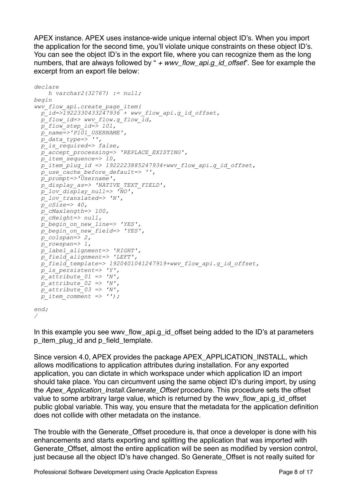APEX instance. APEX uses instance-wide unique internal object ID's. When you import the application for the second time, you'll violate unique constraints on these object ID's. You can see the object ID's in the export file, where you can recognize them as the long numbers, that are always followed by " *+ wwv\_flow\_api.g\_id\_offset*". See for example the excerpt from an export file below:

```
declare
    h varchar2(32767) := null;
begin
wwv_flow_api.create_page_item(
 p id=>1922330433247936 + wwv flow api.g id offset,
   p_flow_id=> wwv_flow.g_flow_id,
   p_flow_step_id=> 101,
   p_name=>'P101_USERNAME',
  p<sup>\bar{d}</sup>data type=\frac{1}{p},
   p_is_required=> false,
  p_accept_processing=> 'REPLACE_EXISTING',
   p_item_sequence=> 10,
  \bar{p} item<sup>-</sup>plug id => 1922223885247934+wwv flow api.g id offset,
  p_use_cache_before_default=> '',
  p_prompt=>'Username',
  p_display_as=> 'NATIVE_TEXT_FIELD',
  p_lov_display_null=> 'NO',
  p_lov_translated=> 'N',
 p<sub>cSize=> 40,</sub>
  p_cMaxlength=> 100,
  p_cHeight=> null,
  p_begin_on_new_line=> 'YES',
  p_begin_on_new_field=> 'YES',
 p \text{ colspan-} = 2,
  p_rowspan=> 1,
  p_label_alignment=> 'RIGHT',
  p_field_alignment=> 'LEFT',
  p_field_template=> 1920401041247919+wwv_flow_api.g_id_offset,
  p_is_persistent=> 'Y',
 p^2 attribute 01 \Rightarrow 'N'p_attribute 02 \Rightarrow 'N',
 p_attribute 03 \implies 'N',\bar{p} item comment => '');
end;
```

```
/
```
In this example you see wwy\_flow\_api.g\_id\_offset being added to the ID's at parameters p\_item\_plug\_id and p\_field\_template.

Since version 4.0, APEX provides the package APEX\_APPLICATION\_INSTALL, which allows modifications to application attributes during installation. For any exported application, you can dictate in which workspace under which application ID an import should take place. You can circumvent using the same object ID's during import, by using the *Apex\_Application\_Install.Generate\_Offset* procedure. This procedure sets the offset value to some arbitrary large value, which is returned by the wwy flow api.g. id offset public global variable. This way, you ensure that the metadata for the application definition does not collide with other metadata on the instance.

The trouble with the Generate Offset procedure is, that once a developer is done with his enhancements and starts exporting and splitting the application that was imported with Generate Offset, almost the entire application will be seen as modified by version control, just because all the object ID's have changed. So Generate\_Offset is not really suited for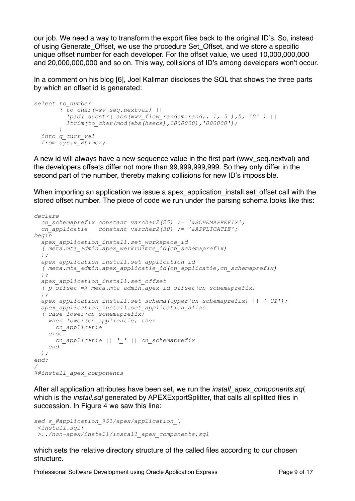our job. We need a way to transform the export files back to the original ID's. So, instead of using Generate\_Offset, we use the procedure Set\_Offset, and we store a specific unique offset number for each developer. For the offset value, we used 10,000,000,000 and 20,000,000,000 and so on. This way, collisions of ID's among developers won't occur.

In a comment on his blog [6], Joel Kallman discloses the SQL that shows the three parts by which an offset id is generated:

```
select to_number
        ( to_char(wwv_seq.nextval) ||
          lpad( substr( abs(wwv_flow_random.rand), 1, 5 ),5, '0' ) ||
          ltrim(to_char(mod(abs(hsecs),1000000),'000000'))
 )
  into g_curr_val
  from sys.v_$timer;
```
A new id will always have a new sequence value in the first part (wwv\_seq.nextval) and the developers offsets differ not more than 99,999,999,999. So they only differ in the second part of the number, thereby making collisions for new ID's impossible.

When importing an application we issue a apex application install.set offset call with the stored offset number. The piece of code we run under the parsing schema looks like this:

```
declare
  cn_schemaprefix constant varchar2(25) := '&SCHEMAPREFIX';
  cn_applicatie constant varchar2(30) := '&APPLICATIE';
begin
  apex_application_install.set_workspace_id
   ( meta.mta_admin.apex_werkruimte_id(cn_schemaprefix)
  );
  apex_application_install.set_application_id
   ( meta.mta_admin.apex_applicatie_id(cn_applicatie,cn_schemaprefix)
  );
  apex_application_install.set_offset
   ( p_offset => meta.mta_admin.apex_id_offset(cn_schemaprefix)
  );
  apex_application_install.set_schema(upper(cn_schemaprefix) || '_UI');
  apex_application_install.set_application_alias
   ( case lower(cn_schemaprefix)
    when lower(cn_applicatie) then
      cn_applicatie
     else
      cn_applicatie || '_' || cn_schemaprefix
    end
  );
end;
/
@@install_apex_components
```
After all application attributes have been set, we run the *install\_apex\_components.sql*, which is the *install.sql* generated by APEXExportSplitter, that calls all splitted files in succession. In Figure 4 we saw this line:

```
sed s_@application_@$1/apex/application_\
  <install.sql\
 >../non-apex/install/install_apex_components.sql
```
which sets the relative directory structure of the called files according to our chosen structure.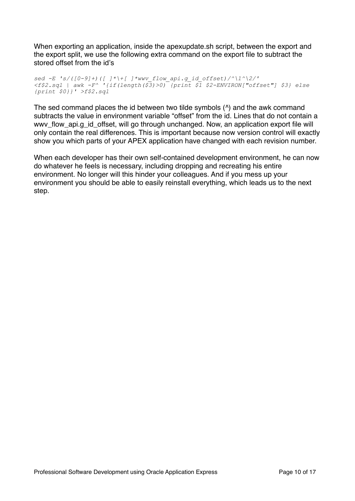When exporting an application, inside the apexupdate.sh script, between the export and the export split, we use the following extra command on the export file to subtract the stored offset from the id's

*sed -E 's/([0-9]+)([ ]\*\+[ ]\*wwv\_flow\_api.g\_id\_offset)/^\1^\2/' <f\$2.sql | awk -F^ '{if(length(\$3)>0) {print \$1 \$2-ENVIRON["offset"] \$3} else {print \$0}}' >f\$2.sql*

The sed command places the id between two tilde symbols (^) and the awk command subtracts the value in environment variable "offset" from the id. Lines that do not contain a wwv\_flow\_api.g\_id\_offset, will go through unchanged. Now, an application export file will only contain the real differences. This is important because now version control will exactly show you which parts of your APEX application have changed with each revision number.

When each developer has their own self-contained development environment, he can now do whatever he feels is necessary, including dropping and recreating his entire environment. No longer will this hinder your colleagues. And if you mess up your environment you should be able to easily reinstall everything, which leads us to the next step.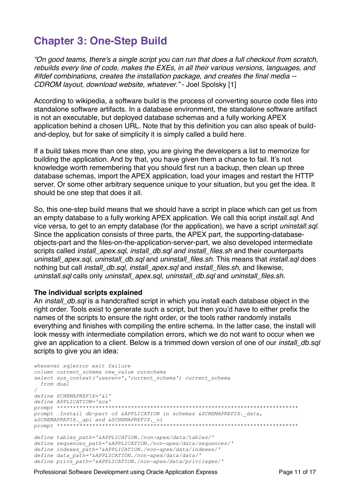### **Chapter 3: One-Step Build**

*"On good teams, there's a single script you can run that does a full checkout from scratch, rebuilds every line of code, makes the EXEs, in all their various versions, languages, and #ifdef combinations, creates the installation package, and creates the final media -- CDROM layout, download website, whatever."* - Joel Spolsky [1]

According to wikipedia, a software build is the process of converting source code files into standalone software artifacts. In a database environment, the standalone software artifact is not an executable, but deployed database schemas and a fully working APEX application behind a chosen URL. Note that by this definition you can also speak of buildand-deploy, but for sake of simplicity it is simply called a build here.

If a build takes more than one step, you are giving the developers a list to memorize for building the application. And by that, you have given them a chance to fail. It's not knowledge worth remembering that you should first run a backup, then clean up three database schemas, import the APEX application, load your images and restart the HTTP server. Or some other arbitrary sequence unique to your situation, but you get the idea. It should be one step that does it all.

So, this one-step build means that we should have a script in place which can get us from an empty database to a fully working APEX application. We call this script *install.sql*. And vice versa, to get to an empty database (for the application), we have a script *uninstall.sql*. Since the application consists of three parts, the APEX part, the supporting-databaseobjects-part and the files-on-the-application-server-part, we also developed intermediate scripts called *install\_apex.sql*, *install\_db.sql and install\_files.sh* and their counterparts *uninstall\_apex.sql*, *uninstall\_db.sql* and *uninstall\_files.sh*. This means that *install.sql* does nothing but call *install\_db.sql*, *install\_apex.sql* and *install\_files.sh*, and likewise, *uninstall.sql* calls only *uninstall\_apex.sql*, *uninstall\_db.sql* and *uninstall\_files.sh*.

#### **The individual scripts explained**

An *install\_db.sql* is a handcrafted script in which you install each database object in the right order. Tools exist to generate such a script, but then you'd have to either prefix the names of the scripts to ensure the right order, or the tools rather randomly installs everything and finishes with compiling the entire schema. In the latter case, the install will look messy with intermediate compilation errors, which we do not want to occur when we give an application to a client. Below is a trimmed down version of one of our *install\_db.sql* scripts to give you an idea:

```
whenever sqlerror exit failure
column current_schema new_value curschema
select sys_context('userenv','current_schema') current_schema
  from dual
/
define SCHEMAPREFIX='&1'
define APPLICATION='sca'
prompt ***************************************************************************
prompt Install db-part of &APPLICATION in schemas &SCHEMAPREFIX._data, 
&SCHEMAPREFIX._api and &SCHEMAPREFIX._ui
prompt ***************************************************************************
define tables_path='&APPLICATION./non-apex/data/tables/'
define sequences_path='&APPLICATION./non-apex/data/sequences/'
define indexes_path='&APPLICATION./non-apex/data/indexes/'
define data_path='&APPLICATION./non-apex/data/data/'
define privs_path='&APPLICATION./non-apex/data/privileges/'
```
Professional Software Development using Oracle Application Express Page 11 of 17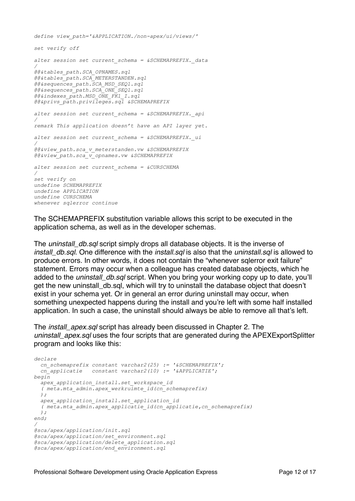```
define view_path='&APPLICATION./non-apex/ui/views/'
set verify off
alter session set current_schema = &SCHEMAPREFIX._data
/
@@&tables_path.SCA_OPNAMES.sql
@@&tables_path.SCA_METERSTANDEN.sql
@@&sequences_path.SCA_MSD_SEQ1.sql
@@&sequences_path.SCA_ONE_SEQ1.sql
@@&indexes_path.MSD_ONE_FK1_I.sql
@@&privs_path.privileges.sql &SCHEMAPREFIX
alter session set current_schema = &SCHEMAPREFIX._api
/
remark This application doesn't have an API layer yet.
alter session set current_schema = &SCHEMAPREFIX._ui
/
@@&view_path.sca_v_meterstanden.vw &SCHEMAPREFIX
@@&view_path.sca_v_opnames.vw &SCHEMAPREFIX
alter session set current_schema = &CURSCHEMA
/
set verify on
undefine SCHEMAPREFIX
undefine APPLICATION
undefine CURSCHEMA
whenever sqlerror continue
```
The SCHEMAPREFIX substitution variable allows this script to be executed in the application schema, as well as in the developer schemas.

The *uninstall\_db.sql* script simply drops all database objects. It is the inverse of *install\_db.sql*. One difference with the *install.sql* is also that the *uninstall.sql* is allowed to produce errors. In other words, it does not contain the "whenever sqlerror exit failure" statement. Errors may occur when a colleague has created database objects, which he added to the *uninstall\_db.sql* script. When you bring your working copy up to date, you'll get the new uninstall\_db.sql, which will try to uninstall the database object that doesn't exist in your schema yet. Or in general an error during uninstall may occur, when something unexpected happens during the install and you're left with some half installed application. In such a case, the uninstall should always be able to remove all that's left.

The *install\_apex.sql* script has already been discussed in Chapter 2. The *uninstall\_apex.sql* uses the four scripts that are generated during the APEXExportSplitter program and looks like this:

```
declare
  cn_schemaprefix constant varchar2(25) := '&SCHEMAPREFIX';
  cn_applicatie constant varchar2(10) := '&APPLICATIE';
begin
  apex_application_install.set_workspace_id
  ( meta.mta_admin.apex_werkruimte_id(cn_schemaprefix)
  );
  apex_application_install.set_application_id
  ( meta.mta_admin.apex_applicatie_id(cn_applicatie,cn_schemaprefix)
  );
end;
/
@sca/apex/application/init.sql
@sca/apex/application/set_environment.sql
@sca/apex/application/delete_application.sql
@sca/apex/application/end_environment.sql
```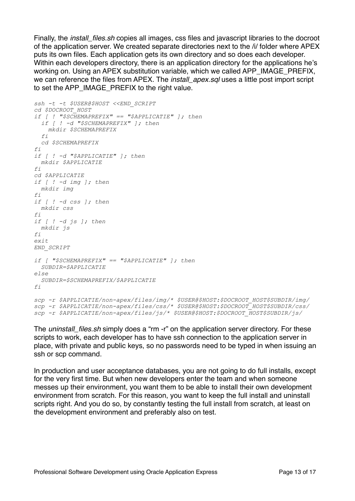Finally, the *install\_files.sh* copies all images, css files and javascript libraries to the docroot of the application server. We created separate directories next to the /i/ folder where APEX puts its own files. Each application gets its own directory and so does each developer. Within each developers directory, there is an application directory for the applications he's working on. Using an APEX substitution variable, which we called APP IMAGE, PREFIX, we can reference the files from APEX. The *install\_apex.sql* uses a little post import script to set the APP\_IMAGE\_PREFIX to the right value.

```
ssh -t -t $USER@$HOST <<END_SCRIPT
cd $DOCROOT_HOST
if [ ! "$SCHEMAPREFIX" == "$APPLICATIE" ]; then
  if [ ! -d "$SCHEMAPREFIX" ]; then
    mkdir $SCHEMAPREFIX
 f_i cd $SCHEMAPREFIX
fi
if [ ! -d "$APPLICATIE" ]; then
  mkdir $APPLICATIE
fi
cd $APPLICATIE
if [ ! -d img ]; then
  mkdir img
fi
if [ ! -d css ]; then
 mkdir css
fi
if [ ! -d js ]; then
  mkdir js
f_iexit
END_SCRIPT
if [ "$SCHEMAPREFIX" == "$APPLICATIE" ]; then
  SUBDIR=$APPLICATIE
else
  SUBDIR=$SCHEMAPREFIX/$APPLICATIE
f_iscp -r $APPLICATIE/non-apex/files/img/* $USER@$HOST:$DOCROOT_HOST$SUBDIR/img/
scp -r $APPLICATIE/non-apex/files/css/* $USER@$HOST:$DOCROOT_HOST$SUBDIR/css/
scp -r $APPLICATIE/non-apex/files/js/* $USER@$HOST:$DOCROOT_HOST$SUBDIR/js/
```
The *uninstall\_files.sh* simply does a "rm -r" on the application server directory. For these scripts to work, each developer has to have ssh connection to the application server in place, with private and public keys, so no passwords need to be typed in when issuing an ssh or scp command.

In production and user acceptance databases, you are not going to do full installs, except for the very first time. But when new developers enter the team and when someone messes up their environment, you want them to be able to install their own development environment from scratch. For this reason, you want to keep the full install and uninstall scripts right. And you do so, by constantly testing the full install from scratch, at least on the development environment and preferably also on test.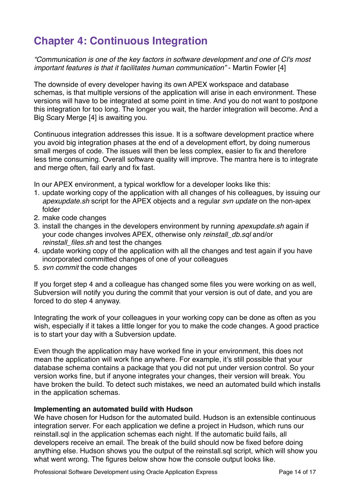# **Chapter 4: Continuous Integration**

*"Communication is one of the key factors in software development and one of CI's most important features is that it facilitates human communication"* - Martin Fowler [4]

The downside of every developer having its own APEX workspace and database schemas, is that multiple versions of the application will arise in each environment. These versions will have to be integrated at some point in time. And you do not want to postpone this integration for too long. The longer you wait, the harder integration will become. And a Big Scary Merge [4] is awaiting you.

Continuous integration addresses this issue. It is a software development practice where you avoid big integration phases at the end of a development effort, by doing numerous small merges of code. The issues will then be less complex, easier to fix and therefore less time consuming. Overall software quality will improve. The mantra here is to integrate and merge often, fail early and fix fast.

In our APEX environment, a typical workflow for a developer looks like this:

- 1. update working copy of the application with all changes of his colleagues, by issuing our *apexupdate.sh* script for the APEX objects and a regular *svn update* on the non-apex folder
- 2. make code changes
- 3. install the changes in the developers environment by running *apexupdate.sh* again if your code changes involves APEX, otherwise only *reinstall\_db.sql* and/or *reinstall\_files.sh* and test the changes
- 4. update working copy of the application with all the changes and test again if you have incorporated committed changes of one of your colleagues
- 5. *svn commit* the code changes

If you forget step 4 and a colleague has changed some files you were working on as well, Subversion will notify you during the commit that your version is out of date, and you are forced to do step 4 anyway.

Integrating the work of your colleagues in your working copy can be done as often as you wish, especially if it takes a little longer for you to make the code changes. A good practice is to start your day with a Subversion update.

Even though the application may have worked fine in your environment, this does not mean the application will work fine anywhere. For example, it's still possible that your database schema contains a package that you did not put under version control. So your version works fine, but if anyone integrates your changes, their version will break. You have broken the build. To detect such mistakes, we need an automated build which installs in the application schemas.

#### **Implementing an automated build with Hudson**

We have chosen for Hudson for the automated build. Hudson is an extensible continuous integration server. For each application we define a project in Hudson, which runs our reinstall.sql in the application schemas each night. If the automatic build fails, all developers receive an email. The break of the build should now be fixed before doing anything else. Hudson shows you the output of the reinstall.sql script, which will show you what went wrong. The figures below show how the console output looks like.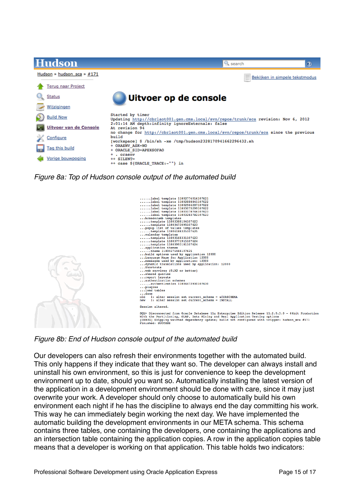| Hudson                     | <b>Q</b> search<br>$^\circledR$                                                                                                                            |  |  |  |
|----------------------------|------------------------------------------------------------------------------------------------------------------------------------------------------------|--|--|--|
| Hudson » hudson_sca » #171 | Bekijken in simpele tekstmodus                                                                                                                             |  |  |  |
| <b>Terug naar Project</b>  |                                                                                                                                                            |  |  |  |
| <b>Status</b>              | Uitvoer op de console                                                                                                                                      |  |  |  |
| Wijzigingen                |                                                                                                                                                            |  |  |  |
| <b>Build Now</b>           | Started by timer<br>Updating http://cbrlaot001.gen.cms.local/svn/repos/trunk/sca revision: Nov 6, 2012                                                     |  |  |  |
| Uitvoer van de Console     | 2:01:14 AM depth:infinity ignoreExternals: false<br>At revision 94<br>no change for http://cbrlaot001.gen.cms.local/svn/repos/trunk/sca since the previous |  |  |  |
| Configure                  | build<br>[workspace] \$ /bin/sh -xe /tmp/hudson2328170941662296432.sh                                                                                      |  |  |  |
| Tag this build             | + ORAENV ASK=NO<br>+ ORACLE SID=APEXSOFAO                                                                                                                  |  |  |  |
| Vorige bouwpoging          | + . oraenv<br>++ SILENT=<br>++ case \${ORACLE TRACE:-""} in                                                                                                |  |  |  |

*Figure 8a: Top of Hudson console output of the automated build*



*Figure 8b: End of Hudson console output of the automated build*

Our developers can also refresh their environments together with the automated build. This only happens if they indicate that they want so. The developer can always install and uninstall his own environment, so this is just for convenience to keep the development environment up to date, should you want so. Automatically installing the latest version of the application in a development environment should be done with care, since it may just overwrite your work. A developer should only choose to automatically build his own environment each night if he has the discipline to always end the day committing his work. This way he can immediately begin working the next day. We have implemented the automatic building the development environments in our META schema. This schema contains three tables, one containing the developers, one containing the applications and an intersection table containing the application copies. A row in the application copies table means that a developer is working on that application. This table holds two indicators: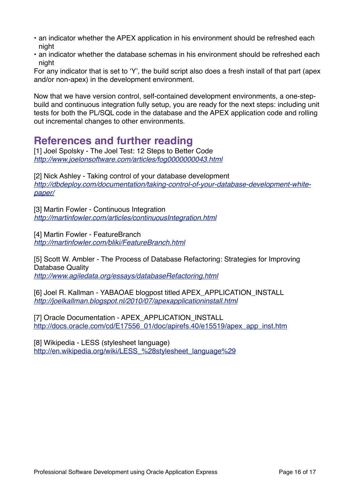- an indicator whether the APEX application in his environment should be refreshed each night
- an indicator whether the database schemas in his environment should be refreshed each night

For any indicator that is set to ʻY', the build script also does a fresh install of that part (apex and/or non-apex) in the development environment.

Now that we have version control, self-contained development environments, a one-stepbuild and continuous integration fully setup, you are ready for the next steps: including unit tests for both the PL/SQL code in the database and the APEX application code and rolling out incremental changes to other environments.

### **References and further reading**

[1] Joel Spolsky - The Joel Test: 12 Steps to Better Code *<http://www.joelonsoftware.com/articles/fog0000000043.html>*

[2] Nick Ashley - Taking control of your database development *[http://dbdeploy.com/documentation/taking-control-of-your-database-development-white](http://dbdeploy.com/documentation/taking-control-of-your-database-development-white-paper/)[paper/](http://dbdeploy.com/documentation/taking-control-of-your-database-development-white-paper/)*

[3] Martin Fowler - Continuous Integration *<http://martinfowler.com/articles/continuousIntegration.html>*

[4] Martin Fowler - FeatureBranch *<http://martinfowler.com/bliki/FeatureBranch.html>*

[5] Scott W. Ambler - The Process of Database Refactoring: Strategies for Improving Database Quality *<http://www.agiledata.org/essays/databaseRefactoring.html>*

[6] Joel R. Kallman - YABAOAE blogpost titled APEX\_APPLICATION\_INSTALL *<http://joelkallman.blogspot.nl/2010/07/apexapplicationinstall.html>*

[7] Oracle Documentation - APEX\_APPLICATION\_INSTALL [http://docs.oracle.com/cd/E17556\\_01/doc/apirefs.40/e15519/apex\\_app\\_inst.htm](http://docs.oracle.com/cd/E17556_01/doc/apirefs.40/e15519/apex_app_inst.htm)

[8] Wikipedia - LESS (stylesheet language) http://en.wikipedia.org/wiki/LESS %28stylesheet\_language%29